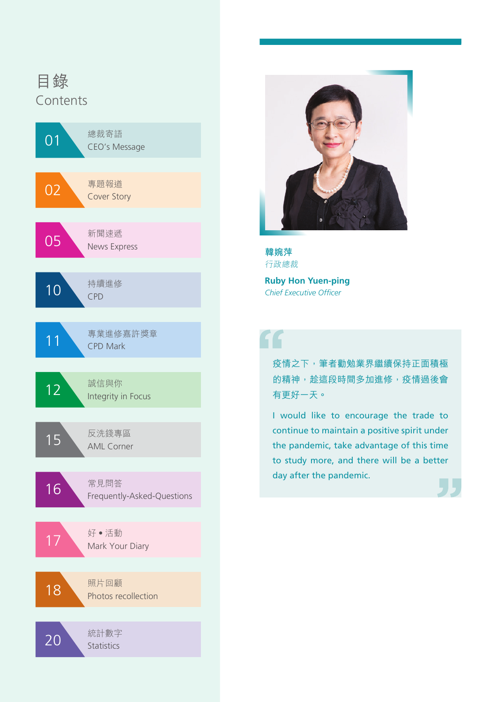





**Ruby Hon Yuen-ping** *Chief Executive Officer*

## "

疫情之下,筆者勸勉業界繼續保持正面積極 的精神,趁這段時間多加進修,疫情過後會 有更好一天。

I would like to encourage the trade to continue to maintain a positive spirit under the pandemic, take advantage of this time to study more, and there will be a better day after the pandemic.

L L